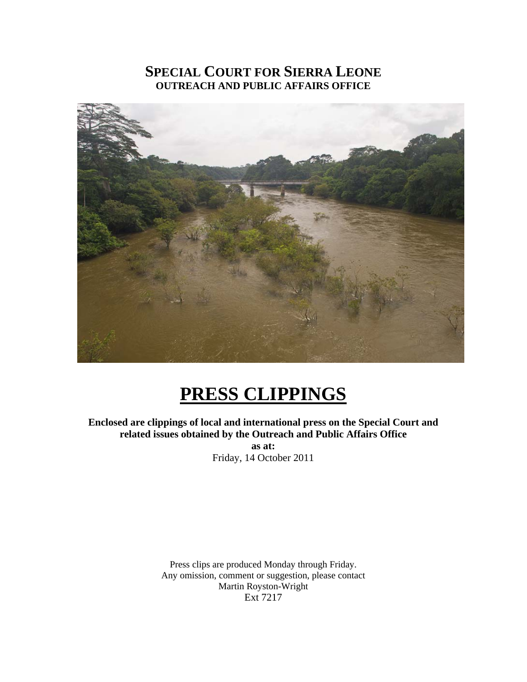### **SPECIAL COURT FOR SIERRA LEONE OUTREACH AND PUBLIC AFFAIRS OFFICE**



# **PRESS CLIPPINGS**

**Enclosed are clippings of local and international press on the Special Court and related issues obtained by the Outreach and Public Affairs Office as at:**  Friday, 14 October 2011

> Press clips are produced Monday through Friday. Any omission, comment or suggestion, please contact Martin Royston-Wright Ext 7217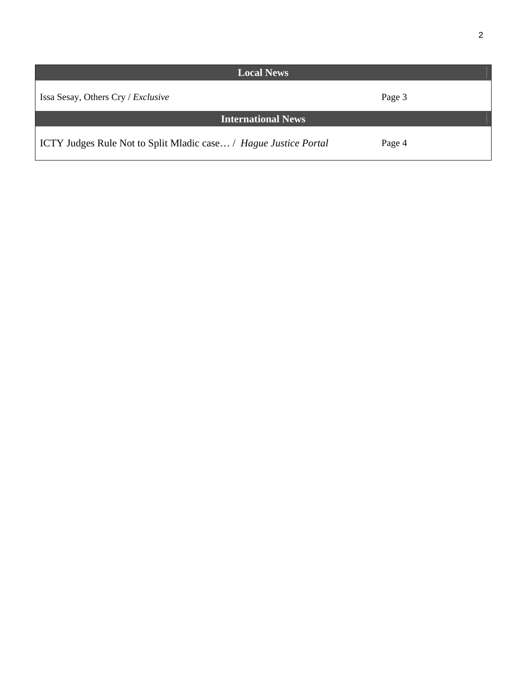| <b>Local News</b>                                                |        |
|------------------------------------------------------------------|--------|
| Issa Sesay, Others Cry / Exclusive                               | Page 3 |
| <b>International News</b>                                        |        |
| ICTY Judges Rule Not to Split Mladic case / Hague Justice Portal | Page 4 |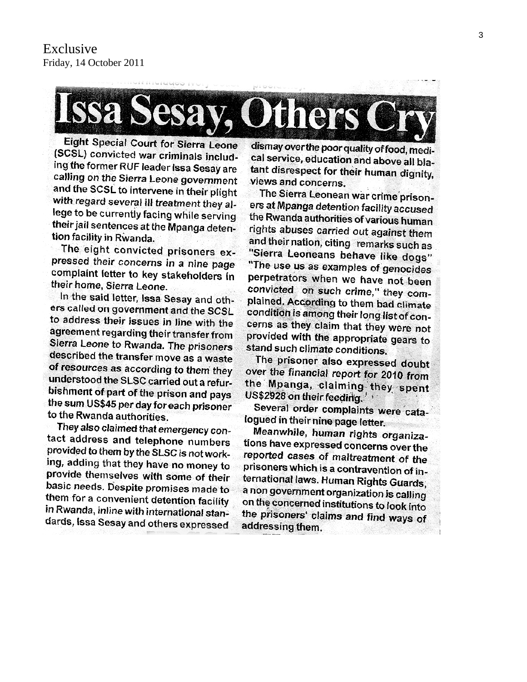

**Eight Special Court for Sierra Leone** (SCSL) convicted war criminals including the former RUF leader Issa Sesay are calling on the Sierra Leone government and the SCSL to intervene in their plight with regard several ill treatment they allege to be currently facing while serving their jail sentences at the Mpanga detention facility in Rwanda.

The eight convicted prisoners expressed their concerns in a nine page complaint letter to key stakeholders in their home, Sierra Leone.

In the said letter, Issa Sesay and others called on government and the SCSL to address their issues in line with the agreement regarding their transfer from Sierra Leone to Rwanda. The prisoners described the transfer move as a waste of resources as according to them they understood the SLSC carried out a refurbishment of part of the prison and pays the sum US\$45 per day for each prisoner to the Rwanda authorities.

They also claimed that emergency contact address and telephone numbers provided to them by the SLSC is not working, adding that they have no money to provide themselves with some of their basic needs. Despite promises made to them for a convenient detention facility in Rwanda, inline with international standards, Issa Sesay and others expressed

dismay over the poor quality of food, medical service, education and above all blatant disrespect for their human dignity, views and concerns.

The Sierra Leonean war crime prisoners at Mpanga detention facility accused the Rwanda authorities of various human rights abuses carried out against them and their nation, citing remarks such as "Sierra Leoneans behave like dogs" "The use us as examples of genocides perpetrators when we have not been convicted on such crime," they complained. According to them bad climate condition is among their long list of concerns as they claim that they were not provided with the appropriate gears to stand such climate conditions.

The prisoner also expressed doubt over the financial report for 2010 from the Mpanga, claiming they spent US\$2928 on their feeding.

Several order complaints were catalogued in their nine page letter.

Meanwhile, human rights organizations have expressed concerns over the reported cases of maltreatment of the prisoners which is a contravention of international laws. Human Rights Guards, a non government organization is calling on the concerned institutions to look into the prisoners' claims and find ways of addressing them.